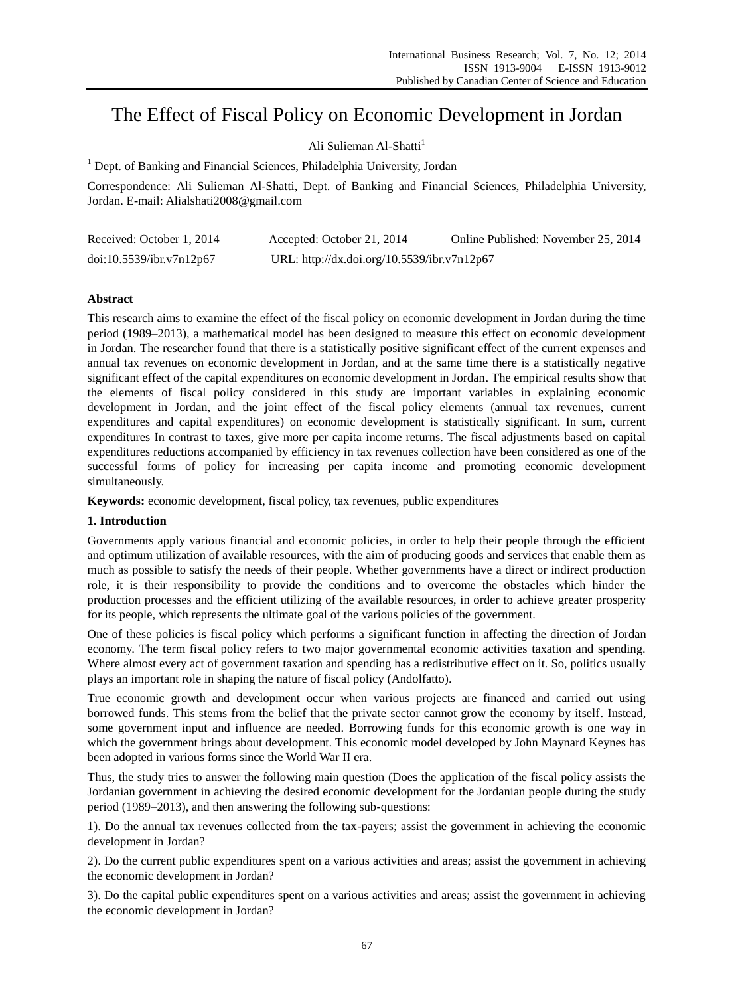# The Effect of Fiscal Policy on Economic Development in Jordan

# Ali Sulieman Al-Shatti<sup>1</sup>

<sup>1</sup> Dept. of Banking and Financial Sciences, Philadelphia University, Jordan

Correspondence: Ali Sulieman Al-Shatti, Dept. of Banking and Financial Sciences, Philadelphia University, Jordan. E-mail: Alialshati2008@gmail.com

| Received: October 1, 2014 | Accepted: October 21, 2014                  | Online Published: November 25, 2014 |
|---------------------------|---------------------------------------------|-------------------------------------|
| doi:10.5539/ibr.v7n12p67  | URL: http://dx.doi.org/10.5539/ibr.v7n12p67 |                                     |

# **Abstract**

This research aims to examine the effect of the fiscal policy on economic development in Jordan during the time period (1989–2013), a mathematical model has been designed to measure this effect on economic development in Jordan. The researcher found that there is a statistically positive significant effect of the current expenses and annual tax revenues on economic development in Jordan, and at the same time there is a statistically negative significant effect of the capital expenditures on economic development in Jordan. The empirical results show that the elements of fiscal policy considered in this study are important variables in explaining economic development in Jordan, and the joint effect of the fiscal policy elements (annual tax revenues, current expenditures and capital expenditures) on economic development is statistically significant. In sum, current expenditures In contrast to taxes, give more per capita income returns. The fiscal adjustments based on capital expenditures reductions accompanied by efficiency in tax revenues collection have been considered as one of the successful forms of policy for increasing per capita income and promoting economic development simultaneously.

**Keywords:** economic development, fiscal policy, tax revenues, public expenditures

## **1. Introduction**

Governments apply various financial and economic policies, in order to help their people through the efficient and optimum utilization of available resources, with the aim of producing goods and services that enable them as much as possible to satisfy the needs of their people. Whether governments have a direct or indirect production role, it is their responsibility to provide the conditions and to overcome the obstacles which hinder the production processes and the efficient utilizing of the available resources, in order to achieve greater prosperity for its people, which represents the ultimate goal of the various policies of the government.

One of these policies is fiscal policy which performs a significant function in affecting the direction of Jordan economy. The term fiscal policy refers to two major governmental economic activities taxation and spending. Where almost every act of government taxation and spending has a redistributive effect on it. So, politics usually plays an important role in shaping the nature of fiscal policy (Andolfatto).

True economic growth and development occur when various projects are financed and carried out using borrowed funds. This stems from the belief that the private sector cannot grow the economy by itself. Instead, some government input and influence are needed. Borrowing funds for this economic growth is one way in which the government brings about development. This economic model developed by John Maynard Keynes has been adopted in various forms since the World War II era.

Thus, the study tries to answer the following main question (Does the application of the fiscal policy assists the Jordanian government in achieving the desired economic development for the Jordanian people during the study period (1989–2013), and then answering the following sub-questions:

1). Do the annual tax revenues collected from the tax-payers; assist the government in achieving the economic development in Jordan?

2). Do the current public expenditures spent on a various activities and areas; assist the government in achieving the economic development in Jordan?

3). Do the capital public expenditures spent on a various activities and areas; assist the government in achieving the economic development in Jordan?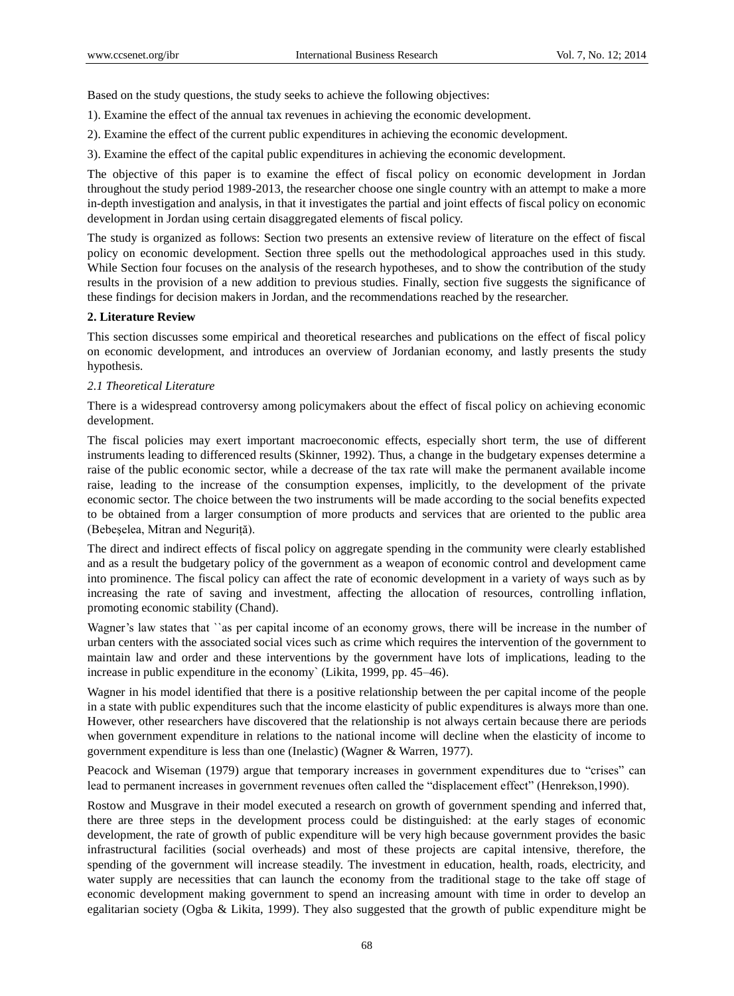Based on the study questions, the study seeks to achieve the following objectives:

- 1). Examine the effect of the annual tax revenues in achieving the economic development.
- 2). Examine the effect of the current public expenditures in achieving the economic development.
- 3). Examine the effect of the capital public expenditures in achieving the economic development.

The objective of this paper is to examine the effect of fiscal policy on economic development in Jordan throughout the study period 1989-2013, the researcher choose one single country with an attempt to make a more in-depth investigation and analysis, in that it investigates the partial and joint effects of fiscal policy on economic development in Jordan using certain disaggregated elements of fiscal policy.

The study is organized as follows: Section two presents an extensive review of literature on the effect of fiscal policy on economic development. Section three spells out the methodological approaches used in this study. While Section four focuses on the analysis of the research hypotheses, and to show the contribution of the study results in the provision of a new addition to previous studies. Finally, section five suggests the significance of these findings for decision makers in Jordan, and the recommendations reached by the researcher.

# **2. Literature Review**

This section discusses some empirical and theoretical researches and publications on the effect of fiscal policy on economic development, and introduces an overview of Jordanian economy, and lastly presents the study hypothesis.

# *2.1 Theoretical Literature*

There is a widespread controversy among policymakers about the effect of fiscal policy on achieving economic development.

The fiscal policies may exert important macroeconomic effects, especially short term, the use of different instruments leading to differenced results (Skinner, 1992). Thus, a change in the budgetary expenses determine a raise of the public economic sector, while a decrease of the tax rate will make the permanent available income raise, leading to the increase of the consumption expenses, implicitly, to the development of the private economic sector. The choice between the two instruments will be made according to the social benefits expected to be obtained from a larger consumption of more products and services that are oriented to the public area (Bebeşelea, Mitran and Neguriţă).

The direct and indirect effects of fiscal policy on aggregate spending in the community were clearly established and as a result the budgetary policy of the government as a weapon of economic control and development came into prominence. The fiscal policy can affect the rate of economic development in a variety of ways such as by increasing the rate of saving and investment, affecting the allocation of resources, controlling inflation, promoting economic stability (Chand).

Wagner's law states that "as per capital income of an economy grows, there will be increase in the number of urban centers with the associated social vices such as crime which requires the intervention of the government to maintain law and order and these interventions by the government have lots of implications, leading to the increase in public expenditure in the economy` (Likita, 1999, pp. 45–46).

Wagner in his model identified that there is a positive relationship between the per capital income of the people in a state with public expenditures such that the income elasticity of public expenditures is always more than one. However, other researchers have discovered that the relationship is not always certain because there are periods when government expenditure in relations to the national income will decline when the elasticity of income to government expenditure is less than one (Inelastic) (Wagner & Warren, 1977).

Peacock and Wiseman (1979) argue that temporary increases in government expenditures due to "crises" can lead to permanent increases in government revenues often called the "displacement effect" (Henrekson,1990).

Rostow and Musgrave in their model executed a research on growth of government spending and inferred that, there are three steps in the development process could be distinguished: at the early stages of economic development, the rate of growth of public expenditure will be very high because government provides the basic infrastructural facilities (social overheads) and most of these projects are capital intensive, therefore, the spending of the government will increase steadily. The investment in education, health, roads, electricity, and water supply are necessities that can launch the economy from the traditional stage to the take off stage of economic development making government to spend an increasing amount with time in order to develop an egalitarian society (Ogba & Likita, 1999). They also suggested that the growth of public expenditure might be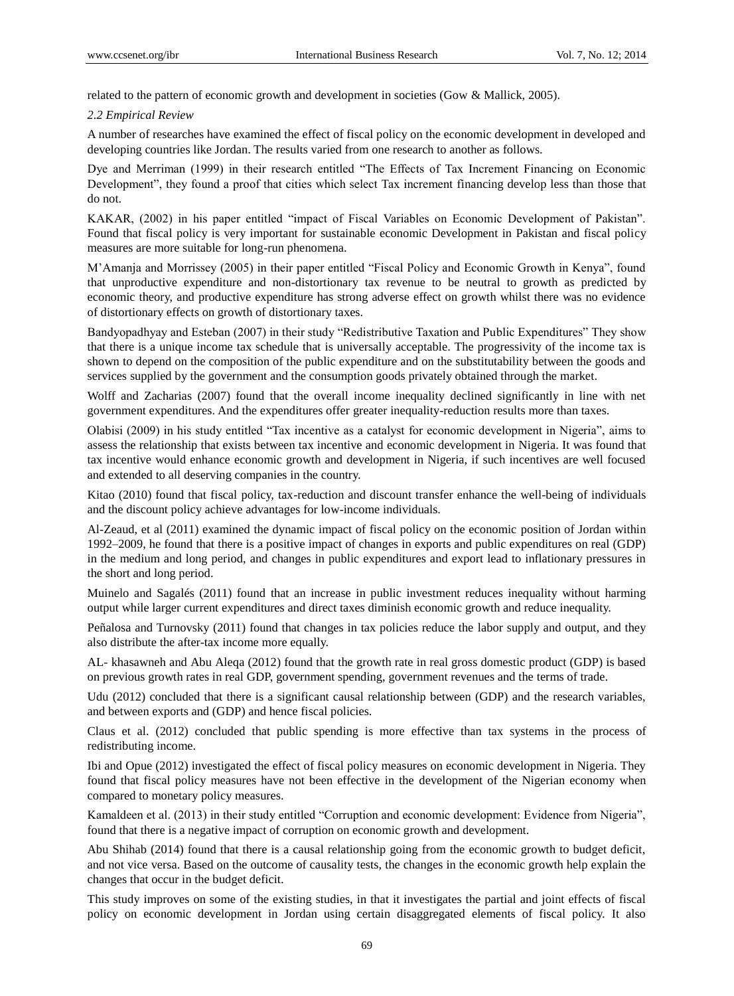related to the pattern of economic growth and development in societies (Gow & Mallick, 2005).

#### *2.2 Empirical Review*

A number of researches have examined the effect of fiscal policy on the economic development in developed and developing countries like Jordan. The results varied from one research to another as follows.

Dye and Merriman (1999) in their research entitled "The Effects of Tax Increment Financing on Economic Development", they found a proof that cities which select Tax increment financing develop less than those that do not.

KAKAR, (2002) in his paper entitled "impact of Fiscal Variables on Economic Development of Pakistan". Found that fiscal policy is very important for sustainable economic Development in Pakistan and fiscal policy measures are more suitable for long-run phenomena.

M'Amanja and Morrissey (2005) in their paper entitled "Fiscal Policy and Economic Growth in Kenya", found that unproductive expenditure and non-distortionary tax revenue to be neutral to growth as predicted by economic theory, and productive expenditure has strong adverse effect on growth whilst there was no evidence of distortionary effects on growth of distortionary taxes.

Bandyopadhyay and Esteban (2007) in their study "Redistributive Taxation and Public Expenditures" They show that there is a unique income tax schedule that is universally acceptable. The progressivity of the income tax is shown to depend on the composition of the public expenditure and on the substitutability between the goods and services supplied by the government and the consumption goods privately obtained through the market.

Wolff and Zacharias (2007) found that the overall income inequality declined significantly in line with net government expenditures. And the expenditures offer greater inequality-reduction results more than taxes.

Olabisi (2009) in his study entitled "Tax incentive as a catalyst for economic development in Nigeria", aims to assess the relationship that exists between tax incentive and economic development in Nigeria. It was found that tax incentive would enhance economic growth and development in Nigeria, if such incentives are well focused and extended to all deserving companies in the country.

Kitao (2010) found that fiscal policy, tax-reduction and discount transfer enhance the well-being of individuals and the discount policy achieve advantages for low-income individuals.

Al-Zeaud, et al (2011) examined the dynamic impact of fiscal policy on the economic position of Jordan within 1992–2009, he found that there is a positive impact of changes in exports and public expenditures on real (GDP) in the medium and long period, and changes in public expenditures and export lead to inflationary pressures in the short and long period.

Muinelo and Sagalés (2011) found that an increase in public investment reduces inequality without harming output while larger current expenditures and direct taxes diminish economic growth and reduce inequality.

Peñalosa and Turnovsky (2011) found that changes in tax policies reduce the labor supply and output, and they also distribute the after-tax income more equally.

AL- khasawneh and Abu Aleqa (2012) found that the growth rate in real gross domestic product (GDP) is based on previous growth rates in real GDP, government spending, government revenues and the terms of trade.

Udu (2012) concluded that there is a significant causal relationship between (GDP) and the research variables, and between exports and (GDP) and hence fiscal policies.

Claus et al. (2012) concluded that public spending is more effective than tax systems in the process of redistributing income.

Ibi and Opue (2012) investigated the effect of fiscal policy measures on economic development in Nigeria. They found that fiscal policy measures have not been effective in the development of the Nigerian economy when compared to monetary policy measures.

Kamaldeen et al. (2013) in their study entitled "Corruption and economic development: Evidence from Nigeria", found that there is a negative impact of corruption on economic growth and development.

Abu Shihab (2014) found that there is a causal relationship going from the economic growth to budget deficit, and not vice versa. Based on the outcome of causality tests, the changes in the economic growth help explain the changes that occur in the budget deficit.

This study improves on some of the existing studies, in that it investigates the partial and joint effects of fiscal policy on economic development in Jordan using certain disaggregated elements of fiscal policy. It also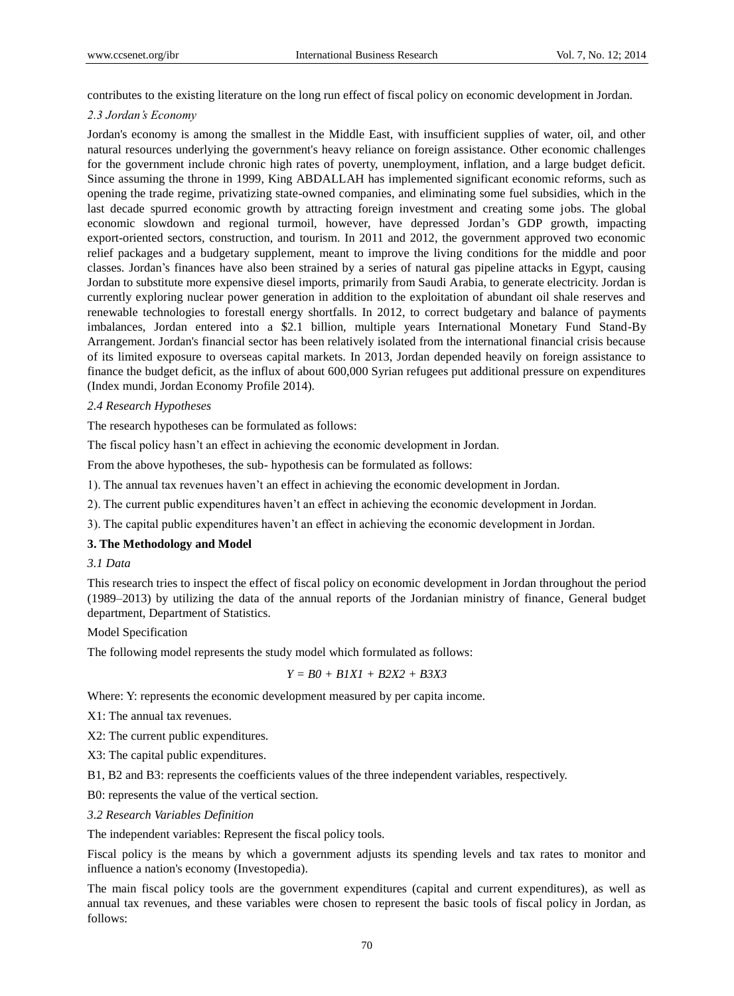contributes to the existing literature on the long run effect of fiscal policy on economic development in Jordan.

# *2.3 Jordan's Economy*

Jordan's economy is among the smallest in the Middle East, with insufficient supplies of water, oil, and other natural resources underlying the government's heavy reliance on foreign assistance. Other economic challenges for the government include chronic high rates of poverty, unemployment, inflation, and a large budget deficit. Since assuming the throne in 1999, King ABDALLAH has implemented significant economic reforms, such as opening the trade regime, privatizing state-owned companies, and eliminating some fuel subsidies, which in the last decade spurred economic growth by attracting foreign investment and creating some jobs. The global economic slowdown and regional turmoil, however, have depressed Jordan's GDP growth, impacting export-oriented sectors, construction, and tourism. In 2011 and 2012, the government approved two economic relief packages and a budgetary supplement, meant to improve the living conditions for the middle and poor classes. Jordan's finances have also been strained by a series of natural gas pipeline attacks in Egypt, causing Jordan to substitute more expensive diesel imports, primarily from Saudi Arabia, to generate electricity. Jordan is currently exploring nuclear power generation in addition to the exploitation of abundant oil shale reserves and renewable technologies to forestall energy shortfalls. In 2012, to correct budgetary and balance of payments imbalances, Jordan entered into a \$2.1 billion, multiple years International Monetary Fund Stand-By Arrangement. Jordan's financial sector has been relatively isolated from the international financial crisis because of its limited exposure to overseas capital markets. In 2013, Jordan depended heavily on foreign assistance to finance the budget deficit, as the influx of about 600,000 Syrian refugees put additional pressure on expenditures (Index mundi, Jordan Economy Profile 2014).

# *2.4 Research Hypotheses*

The research hypotheses can be formulated as follows:

The fiscal policy hasn't an effect in achieving the economic development in Jordan.

From the above hypotheses, the sub- hypothesis can be formulated as follows:

1). The annual tax revenues haven't an effect in achieving the economic development in Jordan.

2). The current public expenditures haven't an effect in achieving the economic development in Jordan.

3). The capital public expenditures haven't an effect in achieving the economic development in Jordan.

# **3. The Methodology and Model**

## *3.1 Data*

This research tries to inspect the effect of fiscal policy on economic development in Jordan throughout the period (1989–2013) by utilizing the data of the annual reports of the Jordanian ministry of finance, General budget department, Department of Statistics.

## Model Specification

The following model represents the study model which formulated as follows:

$$
Y = B0 + BIXI + B2X2 + B3X3
$$

Where: Y: represents the economic development measured by per capita income.

X1: The annual tax revenues.

X2: The current public expenditures.

X3: The capital public expenditures.

B1, B2 and B3: represents the coefficients values of the three independent variables, respectively.

B0: represents the value of the vertical section.

## *3.2 Research Variables Definition*

The independent variables: Represent the fiscal policy tools.

Fiscal policy is the means by which a government adjusts its spending levels and tax rates to monitor and influence a nation's economy (Investopedia).

The main fiscal policy tools are the government expenditures (capital and current expenditures), as well as annual tax revenues, and these variables were chosen to represent the basic tools of fiscal policy in Jordan, as follows: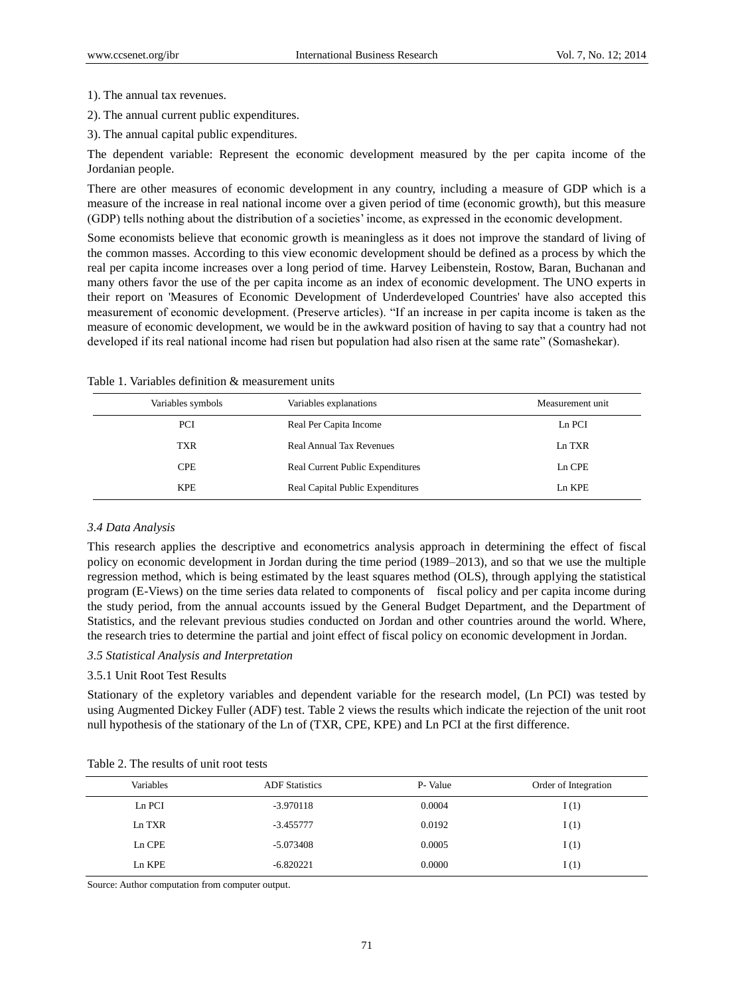1). The annual tax revenues.

2). The annual current public expenditures.

3). The annual capital public expenditures.

The dependent variable: Represent the economic development measured by the per capita income of the Jordanian people.

There are other measures of economic development in any country, including a measure of GDP which is a measure of the increase in real national income over a given period of time (economic growth), but this measure (GDP) tells nothing about the distribution of a societies' income, as expressed in the economic development.

Some economists believe that economic growth is meaningless as it does not improve the standard of living of the common masses. According to this view economic development should be defined as a process by which the real per capita income increases over a long period of time. Harvey Leibenstein, Rostow, Baran, Buchanan and many others favor the use of the per capita income as an index of economic development. The UNO experts in their report on 'Measures of Economic Development of Underdeveloped Countries' have also accepted this measurement of economic development. (Preserve articles). "If an increase in per capita income is taken as the measure of economic development, we would be in the awkward position of having to say that a country had not developed if its real national income had risen but population had also risen at the same rate" (Somashekar).

| Variables symbols | Variables explanations                  | Measurement unit |
|-------------------|-----------------------------------------|------------------|
| <b>PCI</b>        | Real Per Capita Income                  | Ln PCI           |
| <b>TXR</b>        | <b>Real Annual Tax Revenues</b>         | Ln TXR           |
| <b>CPE</b>        | <b>Real Current Public Expenditures</b> | Ln CPE           |
| <b>KPE</b>        | Real Capital Public Expenditures        | Ln KPE           |

Table 1. Variables definition & measurement units

#### *3.4 Data Analysis*

This research applies the descriptive and econometrics analysis approach in determining the effect of fiscal policy on economic development in Jordan during the time period (1989–2013), and so that we use the multiple regression method, which is being estimated by the least squares method (OLS), through applying the statistical program (E-Views) on the time series data related to components of fiscal policy and per capita income during the study period, from the annual accounts issued by the General Budget Department, and the Department of Statistics, and the relevant previous studies conducted on Jordan and other countries around the world. Where, the research tries to determine the partial and joint effect of fiscal policy on economic development in Jordan.

#### *3.5 Statistical Analysis and Interpretation*

# 3.5.1 Unit Root Test Results

Stationary of the expletory variables and dependent variable for the research model, (Ln PCI) was tested by using Augmented Dickey Fuller (ADF) test. Table 2 views the results which indicate the rejection of the unit root null hypothesis of the stationary of the Ln of (TXR, CPE, KPE) and Ln PCI at the first difference.

| Variables | <b>ADF</b> Statistics | P- Value | Order of Integration |
|-----------|-----------------------|----------|----------------------|
| Ln PCI    | $-3.970118$           | 0.0004   | I(1)                 |
| Ln TXR    | $-3.455777$           | 0.0192   | I(1)                 |
| Ln CPE    | $-5.073408$           | 0.0005   | I(1)                 |
| Ln KPE    | $-6.820221$           | 0.0000   | I(1)                 |

Table 2. The results of unit root tests

Source: Author computation from computer output.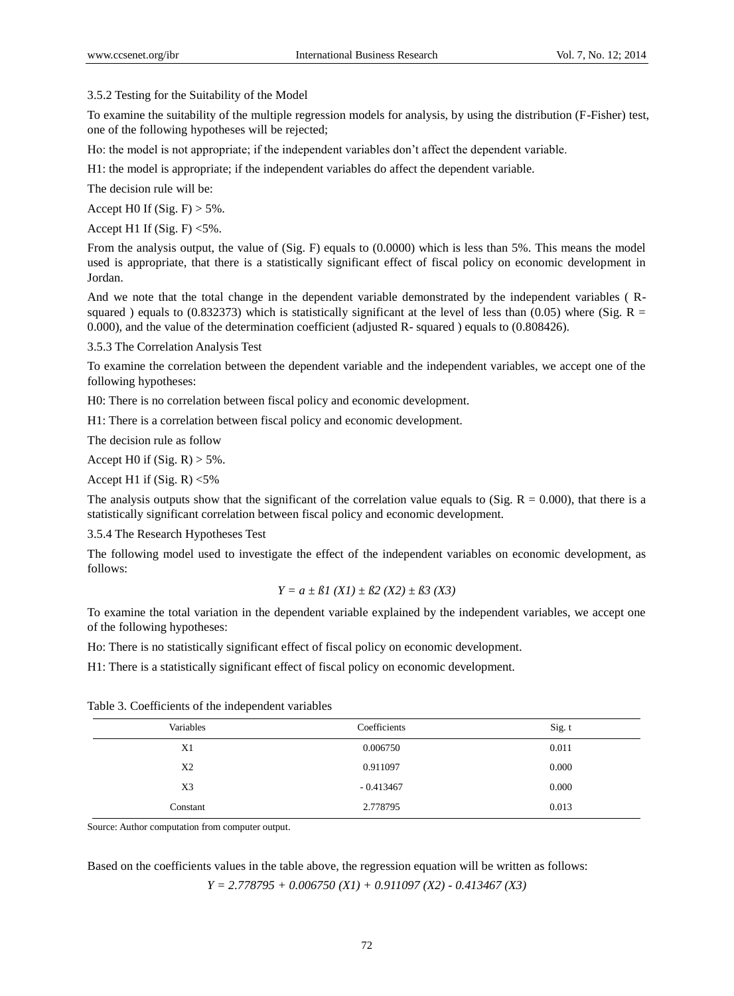3.5.2 Testing for the Suitability of the Model

To examine the suitability of the multiple regression models for analysis, by using the distribution (F-Fisher) test, one of the following hypotheses will be rejected;

Ho: the model is not appropriate; if the independent variables don't affect the dependent variable.

H1: the model is appropriate; if the independent variables do affect the dependent variable.

The decision rule will be:

Accept H0 If  $(Sig. F) > 5\%$ .

Accept H1 If  $(Sig. F) < 5\%$ .

From the analysis output, the value of (Sig. F) equals to (0.0000) which is less than 5%. This means the model used is appropriate, that there is a statistically significant effect of fiscal policy on economic development in Jordan.

And we note that the total change in the dependent variable demonstrated by the independent variables ( Rsquared ) equals to (0.832373) which is statistically significant at the level of less than (0.05) where (Sig.  $R =$ 0.000), and the value of the determination coefficient (adjusted R- squared ) equals to (0.808426).

3.5.3 The Correlation Analysis Test

To examine the correlation between the dependent variable and the independent variables, we accept one of the following hypotheses:

H0: There is no correlation between fiscal policy and economic development.

H1: There is a correlation between fiscal policy and economic development.

The decision rule as follow

Accept H0 if  $(Sig. R) > 5\%$ .

Accept H1 if  $(Sig. R) < 5\%$ 

The analysis outputs show that the significant of the correlation value equals to (Sig.  $R = 0.000$ ), that there is a statistically significant correlation between fiscal policy and economic development.

3.5.4 The Research Hypotheses Test

The following model used to investigate the effect of the independent variables on economic development, as follows:

$$
Y = a \pm \beta l \ (XI) \pm \beta 2 \ (X2) \pm \beta 3 \ (X3)
$$

To examine the total variation in the dependent variable explained by the independent variables, we accept one of the following hypotheses:

Ho: There is no statistically significant effect of fiscal policy on economic development.

H1: There is a statistically significant effect of fiscal policy on economic development.

| Variables      | Coefficients | Sig.t |
|----------------|--------------|-------|
| X <sub>1</sub> | 0.006750     | 0.011 |
| X2             | 0.911097     | 0.000 |
| X <sub>3</sub> | $-0.413467$  | 0.000 |
| Constant       | 2.778795     | 0.013 |

Table 3. Coefficients of the independent variables

Source: Author computation from computer output.

Based on the coefficients values in the table above, the regression equation will be written as follows: *Y = 2.778795 + 0.006750 (X1) + 0.911097 (X2) - 0.413467 (X3)*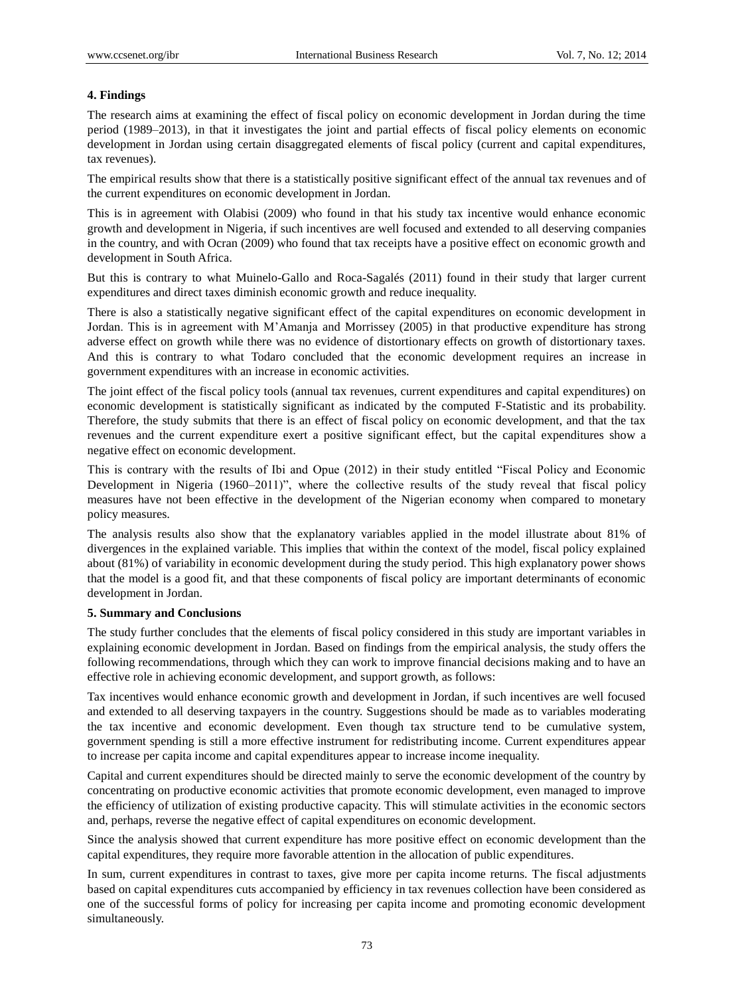# **4. Findings**

The research aims at examining the effect of fiscal policy on economic development in Jordan during the time period (1989–2013), in that it investigates the joint and partial effects of fiscal policy elements on economic development in Jordan using certain disaggregated elements of fiscal policy (current and capital expenditures, tax revenues).

The empirical results show that there is a statistically positive significant effect of the annual tax revenues and of the current expenditures on economic development in Jordan.

This is in agreement with Olabisi (2009) who found in that his study tax incentive would enhance economic growth and development in Nigeria, if such incentives are well focused and extended to all deserving companies in the country, and with Ocran (2009) who found that tax receipts have a positive effect on economic growth and development in South Africa.

But this is contrary to what Muinelo-Gallo and Roca-Sagalés (2011) found in their study that larger current expenditures and direct taxes diminish economic growth and reduce inequality.

There is also a statistically negative significant effect of the capital expenditures on economic development in Jordan. This is in agreement with M'Amanja and Morrissey (2005) in that productive expenditure has strong adverse effect on growth while there was no evidence of distortionary effects on growth of distortionary taxes. And this is contrary to what Todaro concluded that the economic development requires an increase in government expenditures with an increase in economic activities.

The joint effect of the fiscal policy tools (annual tax revenues, current expenditures and capital expenditures) on economic development is statistically significant as indicated by the computed F-Statistic and its probability. Therefore, the study submits that there is an effect of fiscal policy on economic development, and that the tax revenues and the current expenditure exert a positive significant effect, but the capital expenditures show a negative effect on economic development.

This is contrary with the results of Ibi and Opue (2012) in their study entitled "Fiscal Policy and Economic Development in Nigeria (1960–2011)", where the collective results of the study reveal that fiscal policy measures have not been effective in the development of the Nigerian economy when compared to monetary policy measures.

The analysis results also show that the explanatory variables applied in the model illustrate about 81% of divergences in the explained variable. This implies that within the context of the model, fiscal policy explained about (81%) of variability in economic development during the study period. This high explanatory power shows that the model is a good fit, and that these components of fiscal policy are important determinants of economic development in Jordan.

## **5. Summary and Conclusions**

The study further concludes that the elements of fiscal policy considered in this study are important variables in explaining economic development in Jordan. Based on findings from the empirical analysis, the study offers the following recommendations, through which they can work to improve financial decisions making and to have an effective role in achieving economic development, and support growth, as follows:

Tax incentives would enhance economic growth and development in Jordan, if such incentives are well focused and extended to all deserving taxpayers in the country. Suggestions should be made as to variables moderating the tax incentive and economic development. Even though tax structure tend to be cumulative system, government spending is still a more effective instrument for redistributing income. Current expenditures appear to increase per capita income and capital expenditures appear to increase income inequality.

Capital and current expenditures should be directed mainly to serve the economic development of the country by concentrating on productive economic activities that promote economic development, even managed to improve the efficiency of utilization of existing productive capacity. This will stimulate activities in the economic sectors and, perhaps, reverse the negative effect of capital expenditures on economic development.

Since the analysis showed that current expenditure has more positive effect on economic development than the capital expenditures, they require more favorable attention in the allocation of public expenditures.

In sum, current expenditures in contrast to taxes, give more per capita income returns. The fiscal adjustments based on capital expenditures cuts accompanied by efficiency in tax revenues collection have been considered as one of the successful forms of policy for increasing per capita income and promoting economic development simultaneously.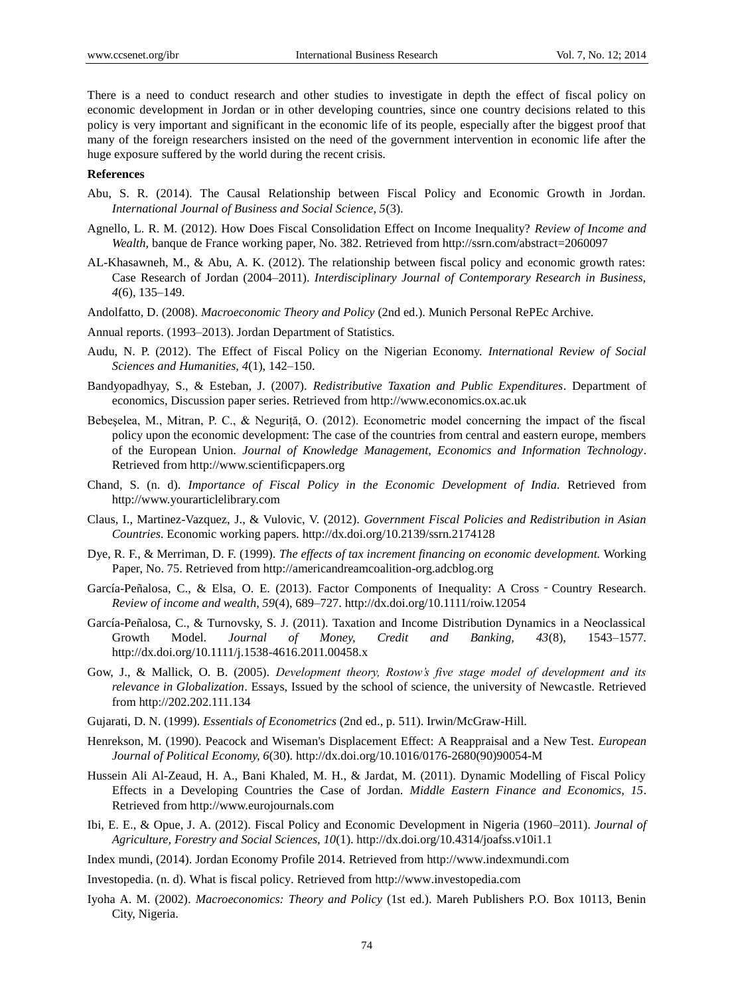There is a need to conduct research and other studies to investigate in depth the effect of fiscal policy on economic development in Jordan or in other developing countries, since one country decisions related to this policy is very important and significant in the economic life of its people, especially after the biggest proof that many of the foreign researchers insisted on the need of the government intervention in economic life after the huge exposure suffered by the world during the recent crisis.

#### **References**

- Abu, S. R. (2014). The Causal Relationship between Fiscal Policy and Economic Growth in Jordan. *International Journal of Business and Social Science, 5*(3).
- Agnello, L. R. M. (2012). How Does Fiscal Consolidation Effect on Income Inequality? *Review of Income and Wealth*, banque de France working paper, No. 382. Retrieved from http://ssrn.com/abstract=2060097
- AL-Khasawneh, M., & Abu, A. K. (2012). The relationship between fiscal policy and economic growth rates: Case Research of Jordan (2004–2011). *Interdisciplinary Journal of Contemporary Research in Business, 4*(6), 135–149.
- Andolfatto, D. (2008). *Macroeconomic Theory and Policy* (2nd ed.). Munich Personal RePEc Archive.
- Annual reports. (1993–2013). Jordan Department of Statistics.
- Audu, N. P. (2012). The Effect of Fiscal Policy on the Nigerian Economy. *International Review of Social Sciences and Humanities, 4*(1), 142–150.
- Bandyopadhyay, S., & Esteban, J. (2007). *Redistributive Taxation and Public Expenditures*. Department of economics, Discussion paper series. Retrieved from http://www.economics.ox.ac.uk
- Bebeselea, M., Mitran, P. C., & Neguriță, O. (2012). Econometric model concerning the impact of the fiscal policy upon the economic development: The case of the countries from central and eastern europe, members of the European Union. *Journal of Knowledge Management, Economics and Information Technology*. Retrieved from http://www.scientificpapers.org
- Chand, S. (n. d). *Importance of Fiscal Policy in the Economic Development of India.* Retrieved from http://www.yourarticlelibrary.com
- Claus, I., Martinez-Vazquez, J., & Vulovic, V. (2012). *Government Fiscal Policies and Redistribution in Asian Countries*. Economic working papers. http://dx.doi.org/10.2139/ssrn.2174128
- Dye, R. F., & Merriman, D. F. (1999). *The effects of tax increment financing on economic development.* Working Paper, No. 75. Retrieved from http://americandreamcoalition-org.adcblog.org
- Garc á-Peñalosa, C., & Elsa, O. E. (2013). Factor Components of Inequality: A Cross Country Research. *Review of income and wealth, 59*(4), 689–727. http://dx.doi.org/10.1111/roiw.12054
- García-Peñalosa, C., & Turnovsky, S. J. (2011). Taxation and Income Distribution Dynamics in a Neoclassical Growth Model. *Journal of Money, Credit and Banking, 43*(8), 1543–1577. http://dx.doi.org/10.1111/j.1538-4616.2011.00458.x
- Gow, J., & Mallick, O. B. (2005). *Development theory, Rostow's five stage model of development and its relevance in Globalization*. Essays, Issued by the school of science, the university of Newcastle. Retrieved from http://202.202.111.134
- Gujarati, D. N. (1999). *Essentials of Econometrics* (2nd ed., p. 511). Irwin/McGraw-Hill.
- Henrekson, M. (1990). Peacock and Wiseman's Displacement Effect: A Reappraisal and a New Test. *European Journal of Political Economy, 6*(30). http://dx.doi.org/10.1016/0176-2680(90)90054-M
- Hussein Ali Al-Zeaud, H. A., Bani Khaled, M. H., & Jardat, M. (2011). Dynamic Modelling of Fiscal Policy Effects in a Developing Countries the Case of Jordan. *Middle Eastern Finance and Economics, 15*. Retrieved from http://www.eurojournals.com
- Ibi, E. E., & Opue, J. A. (2012). Fiscal Policy and Economic Development in Nigeria (1960–2011). *Journal of Agriculture, Forestry and Social Sciences, 10*(1). http://dx.doi.org/10.4314/joafss.v10i1.1
- Index mundi, (2014). Jordan Economy Profile 2014. Retrieved from http://www.indexmundi.com
- Investopedia. (n. d). What is fiscal policy. Retrieved from http://www.investopedia.com
- Iyoha A. M. (2002). *Macroeconomics: Theory and Policy* (1st ed.). Mareh Publishers P.O. Box 10113, Benin City, Nigeria.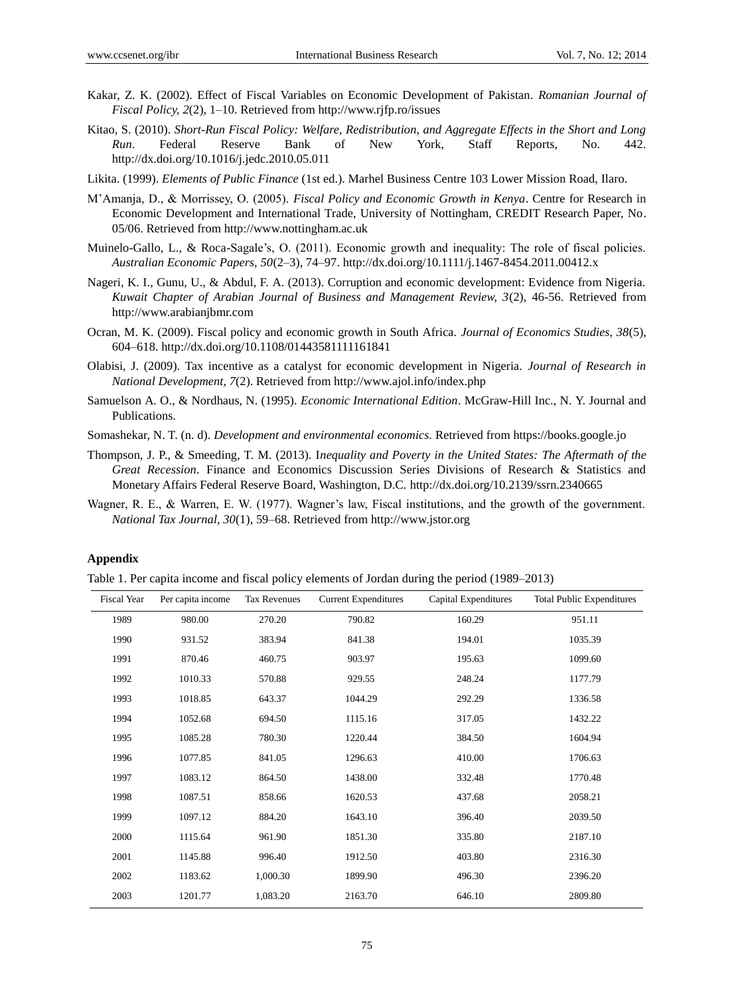- Kakar, Z. K. (2002). Effect of Fiscal Variables on Economic Development of Pakistan. *Romanian Journal of Fiscal Policy, 2*(2), 1–10. Retrieved from http://www.rjfp.ro/issues
- Kitao, S. (2010). *Short-Run Fiscal Policy: Welfare, Redistribution, and Aggregate Effects in the Short and Long Run*. Federal Reserve Bank of New York, Staff Reports, No. 442. http://dx.doi.org/10.1016/j.jedc.2010.05.011
- Likita. (1999). *Elements of Public Finance* (1st ed.). Marhel Business Centre 103 Lower Mission Road, Ilaro.
- M'Amanja, D., & Morrissey, O. (2005). *Fiscal Policy and Economic Growth in Kenya*. Centre for Research in Economic Development and International Trade, University of Nottingham, CREDIT Research Paper, No. 05/06. Retrieved from http://www.nottingham.ac.uk
- Muinelo-Gallo, L., & Roca-Sagale's, O. (2011). Economic growth and inequality: The role of fiscal policies. *Australian Economic Papers, 50*(2–3), 74–97. http://dx.doi.org/10.1111/j.1467-8454.2011.00412.x
- Nageri, K. I., Gunu, U., & Abdul, F. A. (2013). Corruption and economic development: Evidence from Nigeria. *Kuwait Chapter of Arabian Journal of Business and Management Review, 3*(2), 46-56. Retrieved from http://www.arabianjbmr.com
- Ocran, M. K. (2009). Fiscal policy and economic growth in South Africa. *Journal of Economics Studies, 38*(5), 604–618. http://dx.doi.org/10.1108/01443581111161841
- Olabisi, J. (2009). Tax incentive as a catalyst for economic development in Nigeria. *Journal of Research in National Development, 7*(2). Retrieved from http://www.ajol.info/index.php
- Samuelson A. O., & Nordhaus, N. (1995). *Economic International Edition*. McGraw-Hill Inc., N. Y. Journal and Publications.
- Somashekar, N. T. (n. d). *Development and environmental economics.* Retrieved from https://books.google.jo
- Thompson, J. P., & Smeeding, T. M. (2013). I*nequality and Poverty in the United States: The Aftermath of the Great Recession*. Finance and Economics Discussion Series Divisions of Research & Statistics and Monetary Affairs Federal Reserve Board, Washington, D.C. http://dx.doi.org/10.2139/ssrn.2340665
- Wagner, R. E., & Warren, E. W. (1977). Wagner's law, Fiscal institutions, and the growth of the government. *National Tax Journal, 30*(1), 59–68. Retrieved from http://www.jstor.org

#### **Appendix**

Table 1. Per capita income and fiscal policy elements of Jordan during the period (1989–2013)

| <b>Fiscal Year</b> | Per capita income | Tax Revenues | <b>Current Expenditures</b> | Capital Expenditures | <b>Total Public Expenditures</b> |
|--------------------|-------------------|--------------|-----------------------------|----------------------|----------------------------------|
| 1989               | 980.00            | 270.20       | 790.82                      | 160.29               | 951.11                           |
| 1990               | 931.52            | 383.94       | 841.38                      | 194.01               | 1035.39                          |
| 1991               | 870.46            | 460.75       | 903.97                      | 195.63               | 1099.60                          |
| 1992               | 1010.33           | 570.88       | 929.55                      | 248.24               | 1177.79                          |
| 1993               | 1018.85           | 643.37       | 1044.29                     | 292.29               | 1336.58                          |
| 1994               | 1052.68           | 694.50       | 1115.16                     | 317.05               | 1432.22                          |
| 1995               | 1085.28           | 780.30       | 1220.44                     | 384.50               | 1604.94                          |
| 1996               | 1077.85           | 841.05       | 1296.63                     | 410.00               | 1706.63                          |
| 1997               | 1083.12           | 864.50       | 1438.00                     | 332.48               | 1770.48                          |
| 1998               | 1087.51           | 858.66       | 1620.53                     | 437.68               | 2058.21                          |
| 1999               | 1097.12           | 884.20       | 1643.10                     | 396.40               | 2039.50                          |
| 2000               | 1115.64           | 961.90       | 1851.30                     | 335.80               | 2187.10                          |
| 2001               | 1145.88           | 996.40       | 1912.50                     | 403.80               | 2316.30                          |
| 2002               | 1183.62           | 1,000.30     | 1899.90                     | 496.30               | 2396.20                          |
| 2003               | 1201.77           | 1,083.20     | 2163.70                     | 646.10               | 2809.80                          |